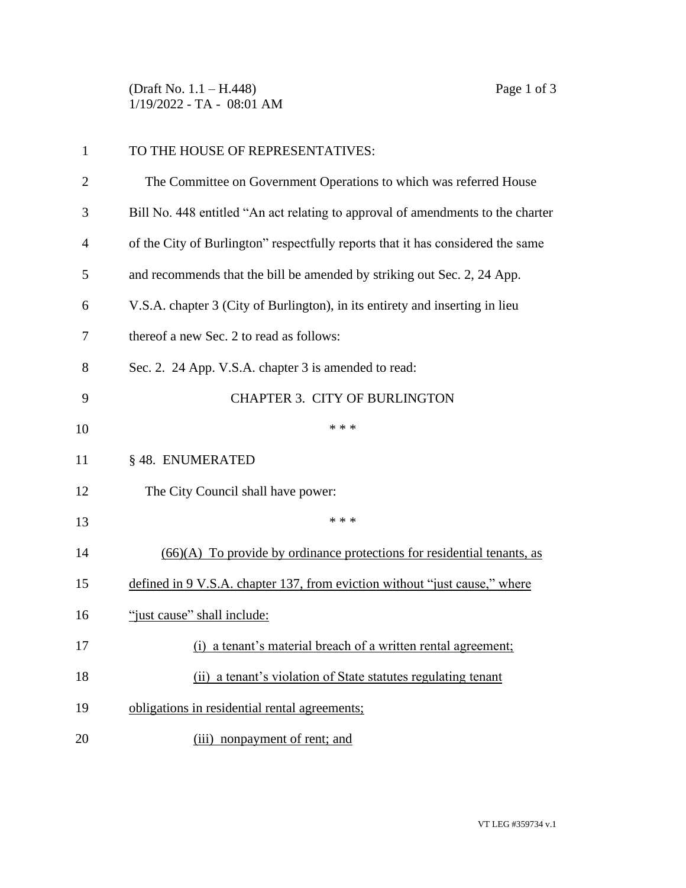(Draft No. 1.1 – H.448) Page 1 of 3 1/19/2022 - TA - 08:01 AM

| $\mathbf{1}$   | TO THE HOUSE OF REPRESENTATIVES:                                                |
|----------------|---------------------------------------------------------------------------------|
| $\overline{2}$ | The Committee on Government Operations to which was referred House              |
| 3              | Bill No. 448 entitled "An act relating to approval of amendments to the charter |
| 4              | of the City of Burlington" respectfully reports that it has considered the same |
| 5              | and recommends that the bill be amended by striking out Sec. 2, 24 App.         |
| 6              | V.S.A. chapter 3 (City of Burlington), in its entirety and inserting in lieu    |
| 7              | thereof a new Sec. 2 to read as follows:                                        |
| 8              | Sec. 2. 24 App. V.S.A. chapter 3 is amended to read:                            |
| 9              | <b>CHAPTER 3. CITY OF BURLINGTON</b>                                            |
| 10             | * * *                                                                           |
| 11             | §48. ENUMERATED                                                                 |
| 12             | The City Council shall have power:                                              |
| 13             | * * *                                                                           |
| 14             | $(66)(A)$ To provide by ordinance protections for residential tenants, as       |
| 15             | defined in 9 V.S.A. chapter 137, from eviction without "just cause," where      |
| 16             | "just cause" shall include:                                                     |
| 17             | (i) a tenant's material breach of a written rental agreement;                   |
| 18             | (ii) a tenant's violation of State statutes regulating tenant                   |
| 19             | obligations in residential rental agreements;                                   |
| 20             | (iii) nonpayment of rent; and                                                   |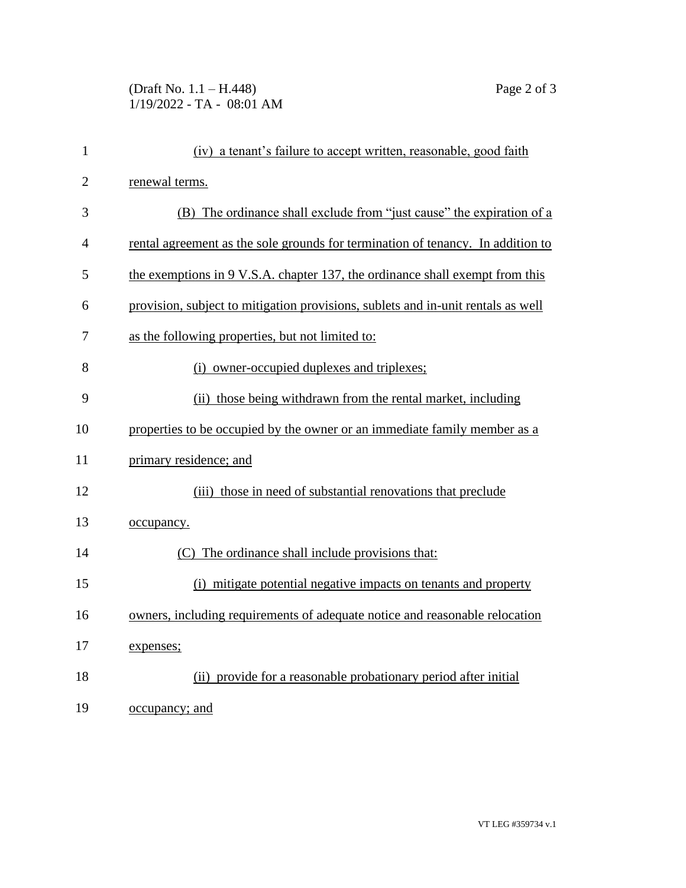## (Draft No. 1.1 – H.448) Page 2 of 3 1/19/2022 - TA - 08:01 AM

| $\mathbf{1}$   | (iv) a tenant's failure to accept written, reasonable, good faith                |
|----------------|----------------------------------------------------------------------------------|
| $\overline{2}$ | renewal terms.                                                                   |
| 3              | (B) The ordinance shall exclude from "just cause" the expiration of a            |
| $\overline{4}$ | rental agreement as the sole grounds for termination of tenancy. In addition to  |
| 5              | the exemptions in 9 V.S.A. chapter 137, the ordinance shall exempt from this     |
| 6              | provision, subject to mitigation provisions, sublets and in-unit rentals as well |
| 7              | as the following properties, but not limited to:                                 |
| 8              | (i) owner-occupied duplexes and triplexes;                                       |
| 9              | (ii) those being withdrawn from the rental market, including                     |
| 10             | properties to be occupied by the owner or an immediate family member as a        |
| 11             | primary residence; and                                                           |
| 12             | (iii) those in need of substantial renovations that preclude                     |
| 13             | occupancy.                                                                       |
| 14             | (C) The ordinance shall include provisions that:                                 |
| 15             | (i) mitigate potential negative impacts on tenants and property                  |
| 16             | owners, including requirements of adequate notice and reasonable relocation      |
| 17             | expenses;                                                                        |
| 18             | (ii) provide for a reasonable probationary period after initial                  |
| 19             | <u>occupancy; and</u>                                                            |